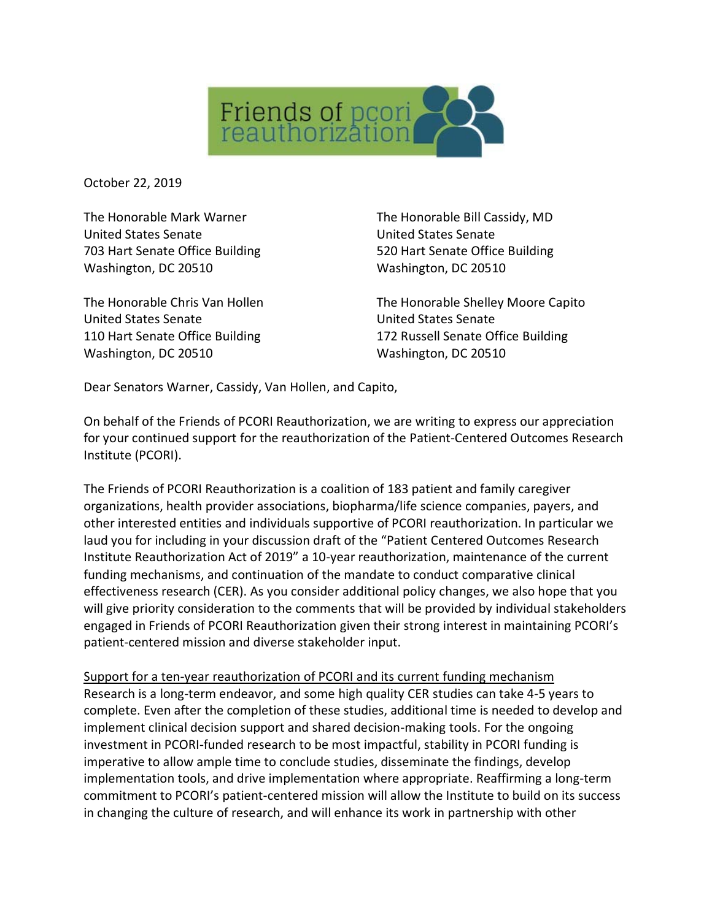

October 22, 2019

The Honorable Mark Warner United States Senate 703 Hart Senate Office Building Washington, DC 20510

The Honorable Chris Van Hollen United States Senate 110 Hart Senate Office Building Washington, DC 20510

The Honorable Bill Cassidy, MD United States Senate 520 Hart Senate Office Building Washington, DC 20510

The Honorable Shelley Moore Capito United States Senate 172 Russell Senate Office Building Washington, DC 20510

Dear Senators Warner, Cassidy, Van Hollen, and Capito,

On behalf of the Friends of PCORI Reauthorization, we are writing to express our appreciation for your continued support for the reauthorization of the Patient-Centered Outcomes Research Institute (PCORI).

The Friends of PCORI Reauthorization is a coalition of 183 patient and family caregiver organizations, health provider associations, biopharma/life science companies, payers, and other interested entities and individuals supportive of PCORI reauthorization. In particular we laud you for including in your discussion draft of the "Patient Centered Outcomes Research Institute Reauthorization Act of 2019" a 10-year reauthorization, maintenance of the current funding mechanisms, and continuation of the mandate to conduct comparative clinical effectiveness research (CER). As you consider additional policy changes, we also hope that you will give priority consideration to the comments that will be provided by individual stakeholders engaged in Friends of PCORI Reauthorization given their strong interest in maintaining PCORI's patient-centered mission and diverse stakeholder input.

Support for a ten-year reauthorization of PCORI and its current funding mechanism Research is a long-term endeavor, and some high quality CER studies can take 4-5 years to complete. Even after the completion of these studies, additional time is needed to develop and implement clinical decision support and shared decision-making tools. For the ongoing investment in PCORI-funded research to be most impactful, stability in PCORI funding is imperative to allow ample time to conclude studies, disseminate the findings, develop implementation tools, and drive implementation where appropriate. Reaffirming a long-term commitment to PCORI's patient-centered mission will allow the Institute to build on its success in changing the culture of research, and will enhance its work in partnership with other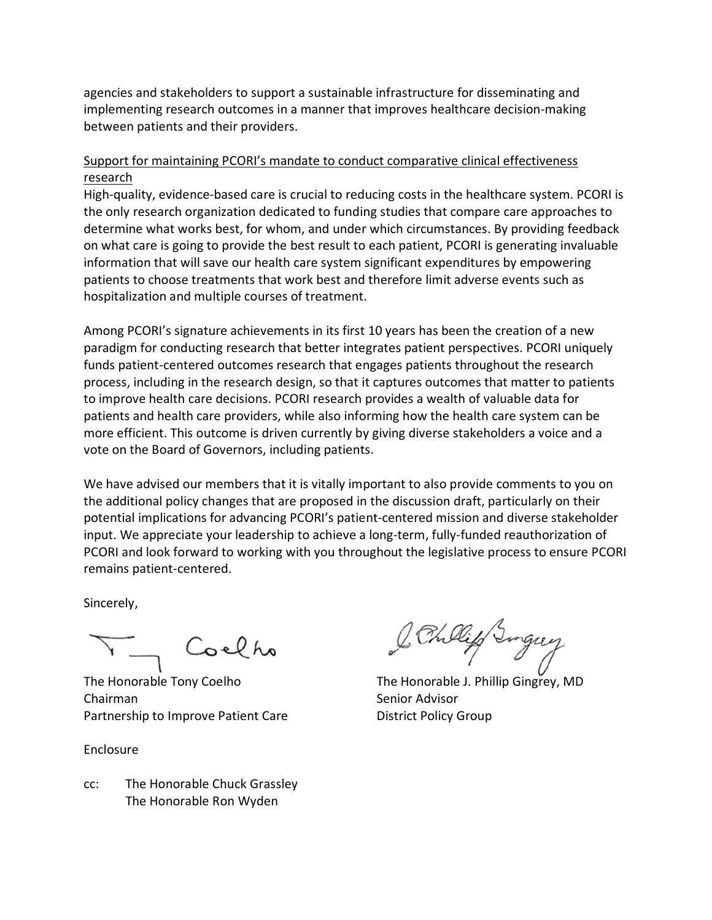agencies and stakeholders to support a sustainable infrastructure for disseminating and implementing research outcomes in a manner that improves healthcare decision-making between patients and their providers.

## Support for maintaining PCORI's mandate to conduct comparative clinical effectiveness research

High-quality, evidence-based care is crucial to reducing costs in the healthcare system. PCORI is the only research organization dedicated to funding studies that compare care approaches to determine what works best, for whom, and under which circumstances. By providing feedback on what care is going to provide the best result to each patient, PCORI is generating invaluable information that will save our health care system significant expenditures by empowering patients to choose treatments that work best and therefore limit adverse events such as hospitalization and multiple courses of treatment.

Among PCORI's signature achievements in its first 10 years has been the creation of a new paradigm for conducting research that better integrates patient perspectives. PCORI uniquely funds patient-centered outcomes research that engages patients throughout the research process, including in the research design, so that it captures outcomes that matter to patients to improve health care decisions. PCORI research provides a wealth of valuable data for patients and health care providers, while also informing how the health care system can be more efficient. This outcome is driven currently by giving diverse stakeholders a voice and a vote on the Board of Governors, including patients.

We have advised our members that it is vitally important to also provide comments to you on the additional policy changes that are proposed in the discussion draft, particularly on their potential implications for advancing PCORI's patient-centered mission and diverse stakeholder input. We appreciate your leadership to achieve a long-term, fully-funded reauthorization of PCORI and look forward to working with you throughout the legislative process to ensure PCORI remains patient-centered.

Sincerely,

Coelho

Chairman Senior Advisor Partnership to Improve Patient Care **District Policy Group** 

Enclosure

cc: The Honorable Chuck Grassley The Honorable Ron Wyden

The Honorable Tony Coelho The Honorable J. Phillip Gingrey, MD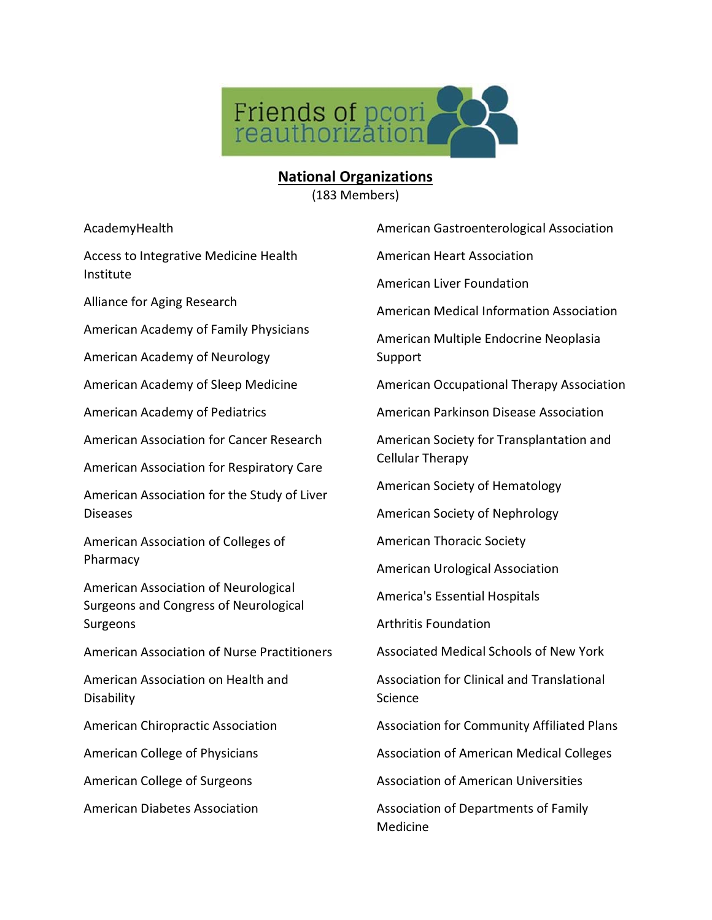

## **National Organizations**

(183 Members)

AcademyHealth

Access to Integrative Medicine Health Institute

Alliance for Aging Research

American Academy of Family Physicians

American Academy of Neurology

American Academy of Sleep Medicine

American Academy of Pediatrics

American Association for Cancer Research

American Association for Respiratory Care

American Association for the Study of Liver Diseases

American Association of Colleges of Pharmacy

American Association of Neurological Surgeons and Congress of Neurological Surgeons

American Association of Nurse Practitioners

American Association on Health and **Disability** 

American Chiropractic Association

American College of Physicians

American College of Surgeons

American Diabetes Association

American Heart Association American Liver Foundation American Medical Information Association American Multiple Endocrine Neoplasia Support

American Gastroenterological Association

American Occupational Therapy Association

American Parkinson Disease Association

American Society for Transplantation and Cellular Therapy

American Society of Hematology

American Society of Nephrology

American Thoracic Society

American Urological Association

America's Essential Hospitals

Arthritis Foundation

Associated Medical Schools of New York

Association for Clinical and Translational Science

Association for Community Affiliated Plans

Association of American Medical Colleges

Association of American Universities

Association of Departments of Family Medicine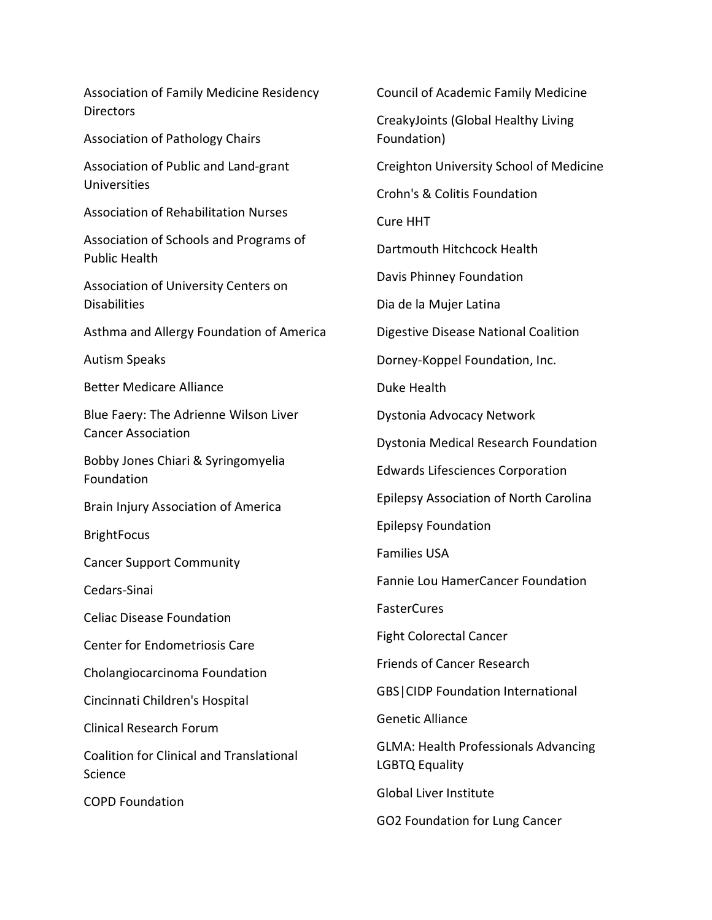Association of Family Medicine Residency **Directors** Association of Pathology Chairs Association of Public and Land-grant Universities Association of Rehabilitation Nurses Association of Schools and Programs of Public Health Association of University Centers on Disabilities Asthma and Allergy Foundation of America Autism Speaks Better Medicare Alliance Blue Faery: The Adrienne Wilson Liver Cancer Association Bobby Jones Chiari & Syringomyelia Foundation Brain Injury Association of America BrightFocus Cancer Support Community Cedars-Sinai Celiac Disease Foundation Center for Endometriosis Care Cholangiocarcinoma Foundation Cincinnati Children's Hospital Clinical Research Forum Coalition for Clinical and Translational Science COPD Foundation

Council of Academic Family Medicine CreakyJoints (Global Healthy Living Foundation) Creighton University School of Medicine Crohn's & Colitis Foundation Cure HHT Dartmouth Hitchcock Health Davis Phinney Foundation Dia de la Mujer Latina Digestive Disease National Coalition Dorney-Koppel Foundation, Inc. Duke Health Dystonia Advocacy Network Dystonia Medical Research Foundation Edwards Lifesciences Corporation Epilepsy Association of North Carolina Epilepsy Foundation Families USA Fannie Lou HamerCancer Foundation FasterCures Fight Colorectal Cancer Friends of Cancer Research GBS|CIDP Foundation International Genetic Alliance GLMA: Health Professionals Advancing LGBTQ Equality Global Liver Institute GO2 Foundation for Lung Cancer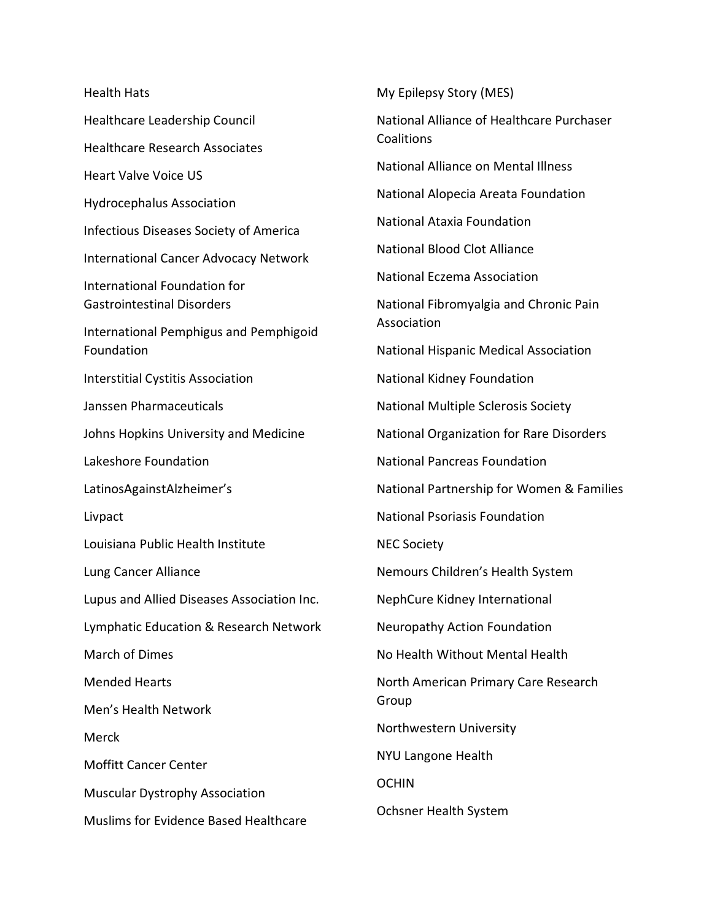Health Hats Healthcare Leadership Council Healthcare Research Associates Heart Valve Voice US Hydrocephalus Association Infectious Diseases Society of America International Cancer Advocacy Network International Foundation for Gastrointestinal Disorders International Pemphigus and Pemphigoid Foundation Interstitial Cystitis Association Janssen Pharmaceuticals Johns Hopkins University and Medicine Lakeshore Foundation LatinosAgainstAlzheimer's Livpact Louisiana Public Health Institute Lung Cancer Alliance Lupus and Allied Diseases Association Inc. Lymphatic Education & Research Network March of Dimes Mended Hearts Men's Health Network Merck Moffitt Cancer Center Muscular Dystrophy Association Muslims for Evidence Based Healthcare My Epilepsy Story (MES) National Alliance of Healthcare Purchaser Coalitions National Alliance on Mental Illness National Alopecia Areata Foundation National Ataxia Foundation National Blood Clot Alliance National Eczema Association National Fibromyalgia and Chronic Pain Association National Hispanic Medical Association National Kidney Foundation National Multiple Sclerosis Society National Organization for Rare Disorders National Pancreas Foundation National Partnership for Women & Families National Psoriasis Foundation NEC Society Nemours Children's Health System NephCure Kidney International Neuropathy Action Foundation No Health Without Mental Health North American Primary Care Research Group Northwestern University NYU Langone Health OCHIN Ochsner Health System